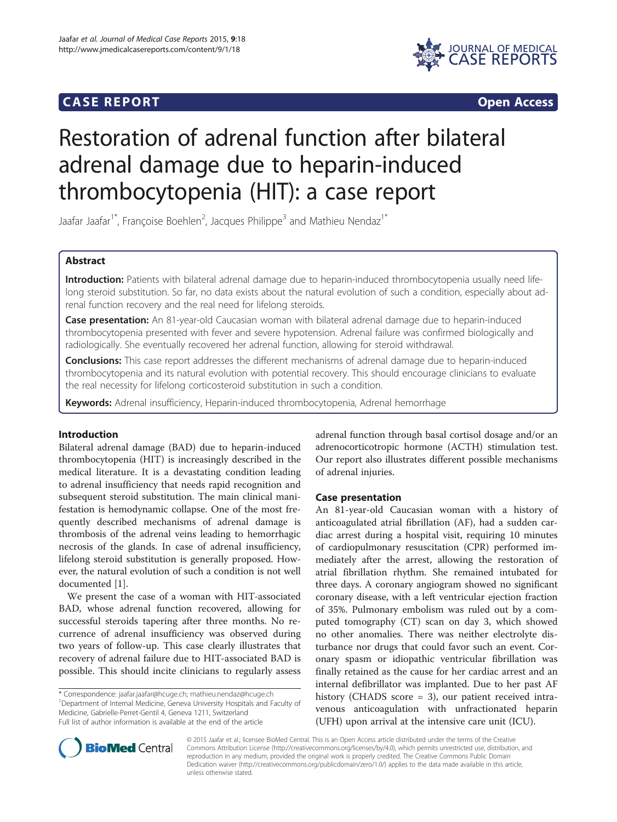## **CASE REPORT CASE REPORT**



# Restoration of adrenal function after bilateral adrenal damage due to heparin-induced thrombocytopenia (HIT): a case report

Jaafar Jaafar<sup>1\*</sup>, Françoise Boehlen<sup>2</sup>, Jacques Philippe<sup>3</sup> and Mathieu Nendaz<sup>1\*</sup>

## Abstract

Introduction: Patients with bilateral adrenal damage due to heparin-induced thrombocytopenia usually need lifelong steroid substitution. So far, no data exists about the natural evolution of such a condition, especially about adrenal function recovery and the real need for lifelong steroids.

Case presentation: An 81-year-old Caucasian woman with bilateral adrenal damage due to heparin-induced thrombocytopenia presented with fever and severe hypotension. Adrenal failure was confirmed biologically and radiologically. She eventually recovered her adrenal function, allowing for steroid withdrawal.

Conclusions: This case report addresses the different mechanisms of adrenal damage due to heparin-induced thrombocytopenia and its natural evolution with potential recovery. This should encourage clinicians to evaluate the real necessity for lifelong corticosteroid substitution in such a condition.

Keywords: Adrenal insufficiency, Heparin-induced thrombocytopenia, Adrenal hemorrhage

## Introduction

Bilateral adrenal damage (BAD) due to heparin-induced thrombocytopenia (HIT) is increasingly described in the medical literature. It is a devastating condition leading to adrenal insufficiency that needs rapid recognition and subsequent steroid substitution. The main clinical manifestation is hemodynamic collapse. One of the most frequently described mechanisms of adrenal damage is thrombosis of the adrenal veins leading to hemorrhagic necrosis of the glands. In case of adrenal insufficiency, lifelong steroid substitution is generally proposed. However, the natural evolution of such a condition is not well documented [[1\]](#page-4-0).

We present the case of a woman with HIT-associated BAD, whose adrenal function recovered, allowing for successful steroids tapering after three months. No recurrence of adrenal insufficiency was observed during two years of follow-up. This case clearly illustrates that recovery of adrenal failure due to HIT-associated BAD is possible. This should incite clinicians to regularly assess

\* Correspondence: [jaafar.jaafar@hcuge.ch](mailto:jaafar.jaafar@hcuge.ch); [mathieu.nendaz@hcuge.ch](mailto:mathieu.nendaz@hcuge.ch) <sup>1</sup> <sup>1</sup>Department of Internal Medicine, Geneva University Hospitals and Faculty of Medicine, Gabrielle-Perret-Gentil 4, Geneva 1211, Switzerland Full list of author information is available at the end of the article

adrenal function through basal cortisol dosage and/or an adrenocorticotropic hormone (ACTH) stimulation test. Our report also illustrates different possible mechanisms of adrenal injuries.

## Case presentation

An 81-year-old Caucasian woman with a history of anticoagulated atrial fibrillation (AF), had a sudden cardiac arrest during a hospital visit, requiring 10 minutes of cardiopulmonary resuscitation (CPR) performed immediately after the arrest, allowing the restoration of atrial fibrillation rhythm. She remained intubated for three days. A coronary angiogram showed no significant coronary disease, with a left ventricular ejection fraction of 35%. Pulmonary embolism was ruled out by a computed tomography (CT) scan on day 3, which showed no other anomalies. There was neither electrolyte disturbance nor drugs that could favor such an event. Coronary spasm or idiopathic ventricular fibrillation was finally retained as the cause for her cardiac arrest and an internal defibrillator was implanted. Due to her past AF history (CHADS score = 3), our patient received intravenous anticoagulation with unfractionated heparin (UFH) upon arrival at the intensive care unit (ICU).



© 2015 Jaafar et al.; licensee BioMed Central. This is an Open Access article distributed under the terms of the Creative Commons Attribution License [\(http://creativecommons.org/licenses/by/4.0\)](http://creativecommons.org/licenses/by/4.0), which permits unrestricted use, distribution, and reproduction in any medium, provided the original work is properly credited. The Creative Commons Public Domain Dedication waiver [\(http://creativecommons.org/publicdomain/zero/1.0/](http://creativecommons.org/publicdomain/zero/1.0/)) applies to the data made available in this article, unless otherwise stated.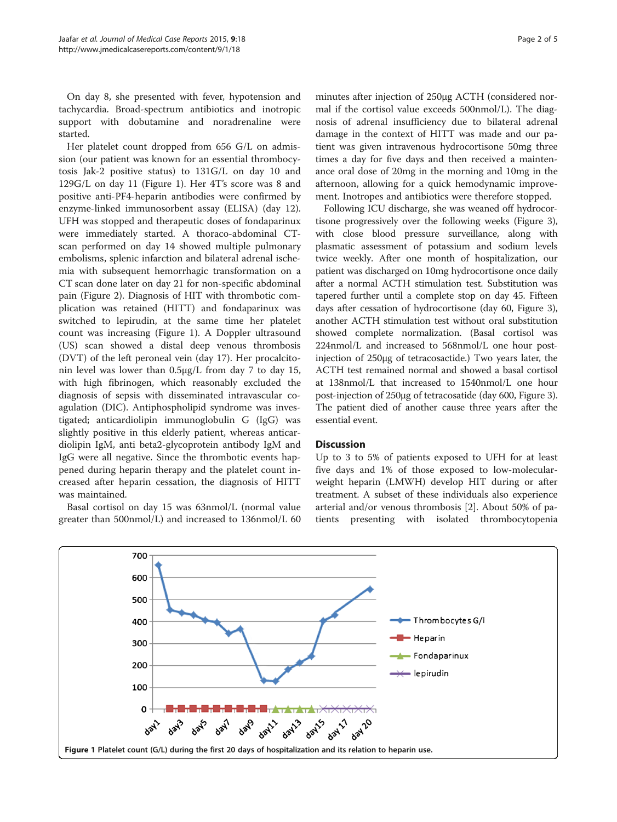On day 8, she presented with fever, hypotension and tachycardia. Broad-spectrum antibiotics and inotropic support with dobutamine and noradrenaline were started.

Her platelet count dropped from 656 G/L on admission (our patient was known for an essential thrombocytosis Jak-2 positive status) to 131G/L on day 10 and 129G/L on day 11 (Figure 1). Her 4T's score was 8 and positive anti-PF4-heparin antibodies were confirmed by enzyme-linked immunosorbent assay (ELISA) (day 12). UFH was stopped and therapeutic doses of fondaparinux were immediately started. A thoraco-abdominal CTscan performed on day 14 showed multiple pulmonary embolisms, splenic infarction and bilateral adrenal ischemia with subsequent hemorrhagic transformation on a CT scan done later on day 21 for non-specific abdominal pain (Figure [2\)](#page-2-0). Diagnosis of HIT with thrombotic complication was retained (HITT) and fondaparinux was switched to lepirudin, at the same time her platelet count was increasing (Figure 1). A Doppler ultrasound (US) scan showed a distal deep venous thrombosis (DVT) of the left peroneal vein (day 17). Her procalcitonin level was lower than 0.5μg/L from day 7 to day 15, with high fibrinogen, which reasonably excluded the diagnosis of sepsis with disseminated intravascular coagulation (DIC). Antiphospholipid syndrome was investigated; anticardiolipin immunoglobulin G (IgG) was slightly positive in this elderly patient, whereas anticardiolipin IgM, anti beta2-glycoprotein antibody IgM and IgG were all negative. Since the thrombotic events happened during heparin therapy and the platelet count increased after heparin cessation, the diagnosis of HITT was maintained.

Basal cortisol on day 15 was 63nmol/L (normal value greater than 500nmol/L) and increased to 136nmol/L 60

minutes after injection of 250μg ACTH (considered normal if the cortisol value exceeds 500nmol/L). The diagnosis of adrenal insufficiency due to bilateral adrenal damage in the context of HITT was made and our patient was given intravenous hydrocortisone 50mg three times a day for five days and then received a maintenance oral dose of 20mg in the morning and 10mg in the afternoon, allowing for a quick hemodynamic improvement. Inotropes and antibiotics were therefore stopped.

Following ICU discharge, she was weaned off hydrocortisone progressively over the following weeks (Figure [3](#page-2-0)), with close blood pressure surveillance, along with plasmatic assessment of potassium and sodium levels twice weekly. After one month of hospitalization, our patient was discharged on 10mg hydrocortisone once daily after a normal ACTH stimulation test. Substitution was tapered further until a complete stop on day 45. Fifteen days after cessation of hydrocortisone (day 60, Figure [3](#page-2-0)), another ACTH stimulation test without oral substitution showed complete normalization. (Basal cortisol was 224nmol/L and increased to 568nmol/L one hour postinjection of 250μg of tetracosactide.) Two years later, the ACTH test remained normal and showed a basal cortisol at 138nmol/L that increased to 1540nmol/L one hour post-injection of 250μg of tetracosatide (day 600, Figure [3](#page-2-0)). The patient died of another cause three years after the essential event.

## **Discussion**

Up to 3 to 5% of patients exposed to UFH for at least five days and 1% of those exposed to low-molecularweight heparin (LMWH) develop HIT during or after treatment. A subset of these individuals also experience arterial and/or venous thrombosis [[2\]](#page-4-0). About 50% of patients presenting with isolated thrombocytopenia

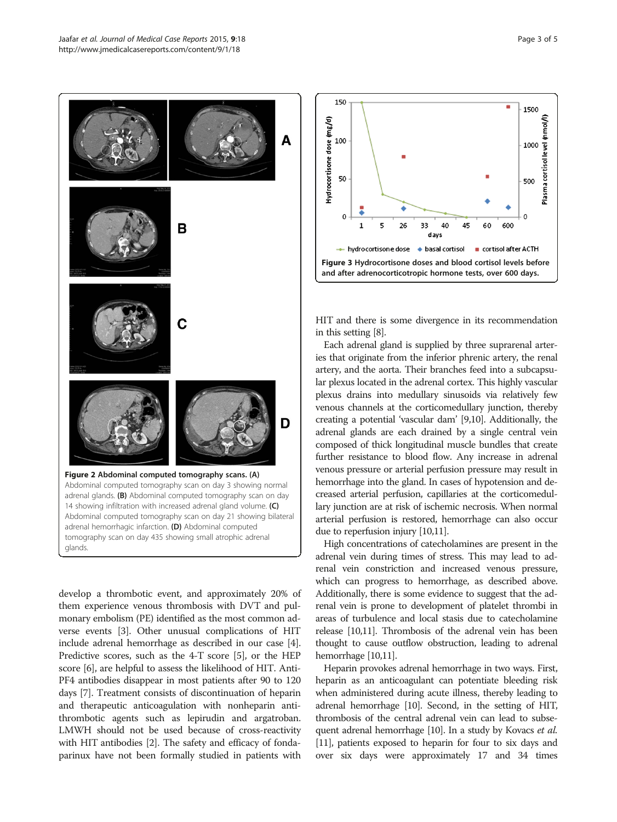<span id="page-2-0"></span>

develop a thrombotic event, and approximately 20% of them experience venous thrombosis with DVT and pulmonary embolism (PE) identified as the most common adverse events [[3](#page-4-0)]. Other unusual complications of HIT include adrenal hemorrhage as described in our case [[4](#page-4-0)]. Predictive scores, such as the 4-T score [\[5](#page-4-0)], or the HEP score [[6](#page-4-0)], are helpful to assess the likelihood of HIT. Anti-PF4 antibodies disappear in most patients after 90 to 120 days [\[7](#page-4-0)]. Treatment consists of discontinuation of heparin and therapeutic anticoagulation with nonheparin antithrombotic agents such as lepirudin and argatroban. LMWH should not be used because of cross-reactivity with HIT antibodies [\[2\]](#page-4-0). The safety and efficacy of fondaparinux have not been formally studied in patients with



HIT and there is some divergence in its recommendation in this setting [\[8\]](#page-4-0).

Each adrenal gland is supplied by three suprarenal arteries that originate from the inferior phrenic artery, the renal artery, and the aorta. Their branches feed into a subcapsular plexus located in the adrenal cortex. This highly vascular plexus drains into medullary sinusoids via relatively few venous channels at the corticomedullary junction, thereby creating a potential 'vascular dam' [\[9,10](#page-4-0)]. Additionally, the adrenal glands are each drained by a single central vein composed of thick longitudinal muscle bundles that create further resistance to blood flow. Any increase in adrenal venous pressure or arterial perfusion pressure may result in hemorrhage into the gland. In cases of hypotension and decreased arterial perfusion, capillaries at the corticomedullary junction are at risk of ischemic necrosis. When normal arterial perfusion is restored, hemorrhage can also occur due to reperfusion injury [[10,11](#page-4-0)].

High concentrations of catecholamines are present in the adrenal vein during times of stress. This may lead to adrenal vein constriction and increased venous pressure, which can progress to hemorrhage, as described above. Additionally, there is some evidence to suggest that the adrenal vein is prone to development of platelet thrombi in areas of turbulence and local stasis due to catecholamine release [\[10,11](#page-4-0)]. Thrombosis of the adrenal vein has been thought to cause outflow obstruction, leading to adrenal hemorrhage [[10,11](#page-4-0)].

Heparin provokes adrenal hemorrhage in two ways. First, heparin as an anticoagulant can potentiate bleeding risk when administered during acute illness, thereby leading to adrenal hemorrhage [\[10\]](#page-4-0). Second, in the setting of HIT, thrombosis of the central adrenal vein can lead to subse-quent adrenal hemorrhage [[10\]](#page-4-0). In a study by Kovacs et al. [[11](#page-4-0)], patients exposed to heparin for four to six days and over six days were approximately 17 and 34 times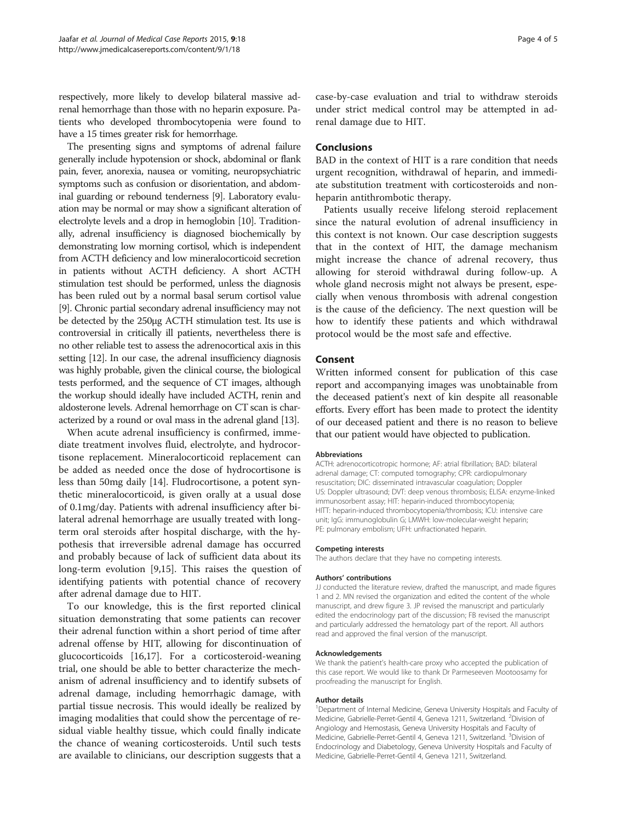respectively, more likely to develop bilateral massive adrenal hemorrhage than those with no heparin exposure. Patients who developed thrombocytopenia were found to have a 15 times greater risk for hemorrhage.

The presenting signs and symptoms of adrenal failure generally include hypotension or shock, abdominal or flank pain, fever, anorexia, nausea or vomiting, neuropsychiatric symptoms such as confusion or disorientation, and abdominal guarding or rebound tenderness [[9](#page-4-0)]. Laboratory evaluation may be normal or may show a significant alteration of electrolyte levels and a drop in hemoglobin [[10](#page-4-0)]. Traditionally, adrenal insufficiency is diagnosed biochemically by demonstrating low morning cortisol, which is independent from ACTH deficiency and low mineralocorticoid secretion in patients without ACTH deficiency. A short ACTH stimulation test should be performed, unless the diagnosis has been ruled out by a normal basal serum cortisol value [[9](#page-4-0)]. Chronic partial secondary adrenal insufficiency may not be detected by the 250μg ACTH stimulation test. Its use is controversial in critically ill patients, nevertheless there is no other reliable test to assess the adrenocortical axis in this setting [[12](#page-4-0)]. In our case, the adrenal insufficiency diagnosis was highly probable, given the clinical course, the biological tests performed, and the sequence of CT images, although the workup should ideally have included ACTH, renin and aldosterone levels. Adrenal hemorrhage on CT scan is characterized by a round or oval mass in the adrenal gland [\[13\]](#page-4-0).

When acute adrenal insufficiency is confirmed, immediate treatment involves fluid, electrolyte, and hydrocortisone replacement. Mineralocorticoid replacement can be added as needed once the dose of hydrocortisone is less than 50mg daily [[14](#page-4-0)]. Fludrocortisone, a potent synthetic mineralocorticoid, is given orally at a usual dose of 0.1mg/day. Patients with adrenal insufficiency after bilateral adrenal hemorrhage are usually treated with longterm oral steroids after hospital discharge, with the hypothesis that irreversible adrenal damage has occurred and probably because of lack of sufficient data about its long-term evolution [\[9,15](#page-4-0)]. This raises the question of identifying patients with potential chance of recovery after adrenal damage due to HIT.

To our knowledge, this is the first reported clinical situation demonstrating that some patients can recover their adrenal function within a short period of time after adrenal offense by HIT, allowing for discontinuation of glucocorticoids [\[16,17](#page-4-0)]. For a corticosteroid-weaning trial, one should be able to better characterize the mechanism of adrenal insufficiency and to identify subsets of adrenal damage, including hemorrhagic damage, with partial tissue necrosis. This would ideally be realized by imaging modalities that could show the percentage of residual viable healthy tissue, which could finally indicate the chance of weaning corticosteroids. Until such tests are available to clinicians, our description suggests that a

case-by-case evaluation and trial to withdraw steroids under strict medical control may be attempted in adrenal damage due to HIT.

### Conclusions

BAD in the context of HIT is a rare condition that needs urgent recognition, withdrawal of heparin, and immediate substitution treatment with corticosteroids and nonheparin antithrombotic therapy.

Patients usually receive lifelong steroid replacement since the natural evolution of adrenal insufficiency in this context is not known. Our case description suggests that in the context of HIT, the damage mechanism might increase the chance of adrenal recovery, thus allowing for steroid withdrawal during follow-up. A whole gland necrosis might not always be present, especially when venous thrombosis with adrenal congestion is the cause of the deficiency. The next question will be how to identify these patients and which withdrawal protocol would be the most safe and effective.

#### Consent

Written informed consent for publication of this case report and accompanying images was unobtainable from the deceased patient's next of kin despite all reasonable efforts. Every effort has been made to protect the identity of our deceased patient and there is no reason to believe that our patient would have objected to publication.

#### Abbreviations

ACTH: adrenocorticotropic hormone; AF: atrial fibrillation; BAD: bilateral adrenal damage; CT: computed tomography; CPR: cardiopulmonary resuscitation; DIC: disseminated intravascular coagulation; Doppler US: Doppler ultrasound; DVT: deep venous thrombosis; ELISA: enzyme-linked immunosorbent assay; HIT: heparin-induced thrombocytopenia; HITT: heparin-induced thrombocytopenia/thrombosis; ICU: intensive care unit; IgG: immunoglobulin G; LMWH: low-molecular-weight heparin; PE: pulmonary embolism; UFH: unfractionated heparin.

## Competing interests

The authors declare that they have no competing interests.

#### Authors' contributions

JJ conducted the literature review, drafted the manuscript, and made figures 1 and 2. MN revised the organization and edited the content of the whole manuscript, and drew figure 3. JP revised the manuscript and particularly edited the endocrinology part of the discussion; FB revised the manuscript and particularly addressed the hematology part of the report. All authors read and approved the final version of the manuscript.

#### Acknowledgements

We thank the patient's health-care proxy who accepted the publication of this case report. We would like to thank Dr Parmeseeven Mootoosamy for proofreading the manuscript for English.

#### Author details

<sup>1</sup>Department of Internal Medicine, Geneva University Hospitals and Faculty of Medicine, Gabrielle-Perret-Gentil 4, Geneva 1211, Switzerland. <sup>2</sup>Division of Angiology and Hemostasis, Geneva University Hospitals and Faculty of Medicine, Gabrielle-Perret-Gentil 4, Geneva 1211, Switzerland. <sup>3</sup>Division of Endocrinology and Diabetology, Geneva University Hospitals and Faculty of Medicine, Gabrielle-Perret-Gentil 4, Geneva 1211, Switzerland.